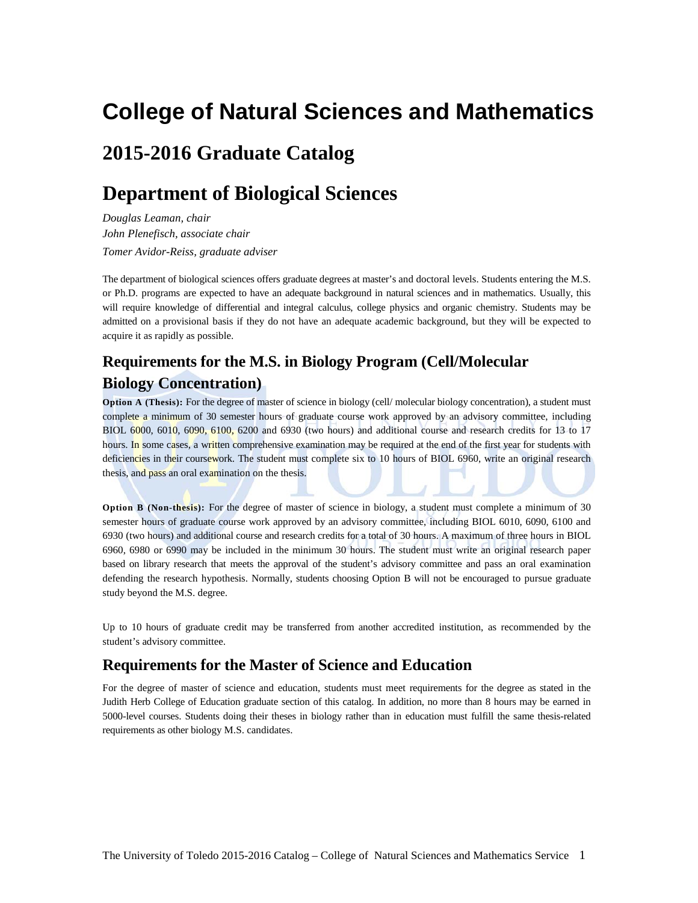# **College of Natural Sciences and Mathematics**

# **2015-2016 Graduate Catalog**

# **Department of Biological Sciences**

*Douglas Leaman, chair John Plenefisch, associate chair Tomer Avidor-Reiss, graduate adviser*

The department of biological sciences offers graduate degrees at master's and doctoral levels. Students entering the M.S. or Ph.D. programs are expected to have an adequate background in natural sciences and in mathematics. Usually, this will require knowledge of differential and integral calculus, college physics and organic chemistry. Students may be admitted on a provisional basis if they do not have an adequate academic background, but they will be expected to acquire it as rapidly as possible.

## **Requirements for the M.S. in Biology Program (Cell/Molecular Biology Concentration)**

**Option A (Thesis):** For the degree of master of science in biology (cell/ molecular biology concentration), a student must complete a minimum of 30 semester hours of graduate course work approved by an advisory committee, including BIOL 6000, 6010, 6090, 6100, 6200 and 6930 (two hours) and additional course and research credits for 13 to 17 hours. In some cases, a written comprehensive examination may be required at the end of the first year for students with deficiencies in their coursework. The student must complete six to 10 hours of BIOL 6960, write an original research thesis, and pass an oral examination on the thesis.

**Option B (Non-thesis):** For the degree of master of science in biology, a student must complete a minimum of 30 semester hours of graduate course work approved by an advisory committee, including BIOL 6010, 6090, 6100 and 6930 (two hours) and additional course and research credits for a total of 30 hours. A maximum of three hours in BIOL 6960, 6980 or 6990 may be included in the minimum 30 hours. The student must write an original research paper based on library research that meets the approval of the student's advisory committee and pass an oral examination defending the research hypothesis. Normally, students choosing Option B will not be encouraged to pursue graduate study beyond the M.S. degree.

Up to 10 hours of graduate credit may be transferred from another accredited institution, as recommended by the student's advisory committee.

## **Requirements for the Master of Science and Education**

For the degree of master of science and education, students must meet requirements for the degree as stated in the Judith Herb College of Education graduate section of this catalog. In addition, no more than 8 hours may be earned in 5000-level courses. Students doing their theses in biology rather than in education must fulfill the same thesis-related requirements as other biology M.S. candidates.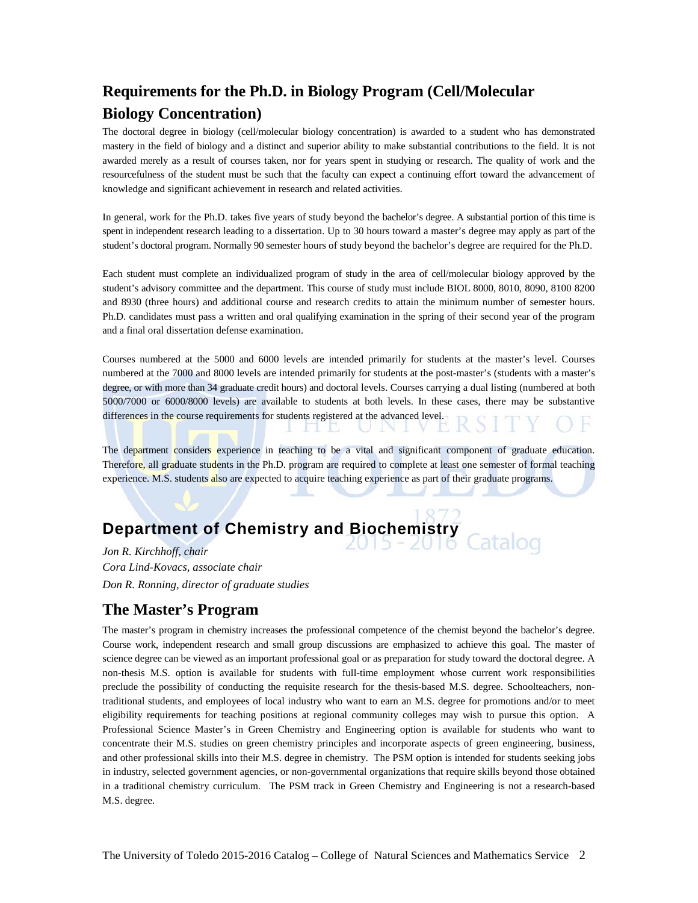# **Requirements for the Ph.D. in Biology Program (Cell/Molecular Biology Concentration)**

The doctoral degree in biology (cell/molecular biology concentration) is awarded to a student who has demonstrated mastery in the field of biology and a distinct and superior ability to make substantial contributions to the field. It is not awarded merely as a result of courses taken, nor for years spent in studying or research. The quality of work and the resourcefulness of the student must be such that the faculty can expect a continuing effort toward the advancement of knowledge and significant achievement in research and related activities.

In general, work for the Ph.D. takes five years of study beyond the bachelor's degree. A substantial portion of this time is spent in independent research leading to a dissertation. Up to 30 hours toward a master's degree may apply as part of the student's doctoral program. Normally 90 semester hours of study beyond the bachelor's degree are required for the Ph.D.

Each student must complete an individualized program of study in the area of cell/molecular biology approved by the student's advisory committee and the department. This course of study must include BIOL 8000, 8010, 8090, 8100 8200 and 8930 (three hours) and additional course and research credits to attain the minimum number of semester hours. Ph.D. candidates must pass a written and oral qualifying examination in the spring of their second year of the program and a final oral dissertation defense examination.

Courses numbered at the 5000 and 6000 levels are intended primarily for students at the master's level. Courses numbered at the 7000 and 8000 levels are intended primarily for students at the post-master's (students with a master's degree, or with more than 34 graduate credit hours) and doctoral levels. Courses carrying a dual listing (numbered at both 5000/7000 or 6000/8000 levels) are available to students at both levels. In these cases, there may be substantive differences in the course requirements for students registered at the advanced level. н

The department considers experience in teaching to be a vital and significant component of graduate education. Therefore, all graduate students in the Ph.D. program are required to complete at least one semester of formal teaching experience. M.S. students also are expected to acquire teaching experience as part of their graduate programs.

 $\perp$   $\perp$ 

# **Department of Chemistry and Biochemistry**

*Jon R. Kirchhoff, chair Cora Lind-Kovacs, associate chair Don R. Ronning, director of graduate studies*

## **The Master's Program**

The master's program in chemistry increases the professional competence of the chemist beyond the bachelor's degree. Course work, independent research and small group discussions are emphasized to achieve this goal. The master of science degree can be viewed as an important professional goal or as preparation for study toward the doctoral degree. A non-thesis M.S. option is available for students with full-time employment whose current work responsibilities preclude the possibility of conducting the requisite research for the thesis-based M.S. degree. Schoolteachers, nontraditional students, and employees of local industry who want to earn an M.S. degree for promotions and/or to meet eligibility requirements for teaching positions at regional community colleges may wish to pursue this option. A Professional Science Master's in Green Chemistry and Engineering option is available for students who want to concentrate their M.S. studies on green chemistry principles and incorporate aspects of green engineering, business, and other professional skills into their M.S. degree in chemistry. The PSM option is intended for students seeking jobs in industry, selected government agencies, or non-governmental organizations that require skills beyond those obtained in a traditional chemistry curriculum. The PSM track in Green Chemistry and Engineering is not a research-based M.S. degree.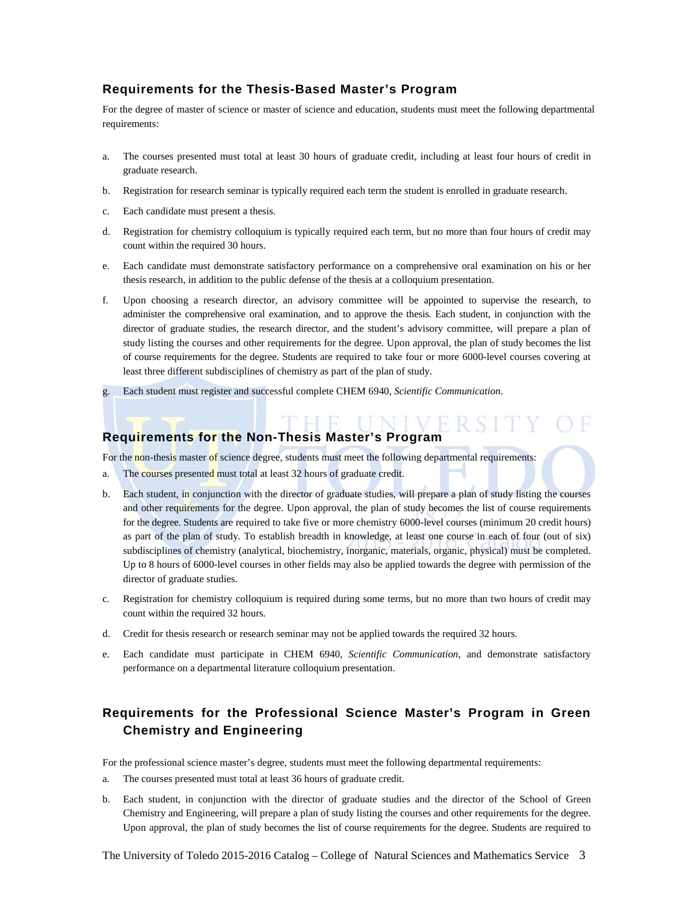## **Requirements for the Thesis-Based Master's Program**

For the degree of master of science or master of science and education, students must meet the following departmental requirements:

- a. The courses presented must total at least 30 hours of graduate credit, including at least four hours of credit in graduate research.
- b. Registration for research seminar is typically required each term the student is enrolled in graduate research.
- c. Each candidate must present a thesis.
- d. Registration for chemistry colloquium is typically required each term, but no more than four hours of credit may count within the required 30 hours.
- e. Each candidate must demonstrate satisfactory performance on a comprehensive oral examination on his or her thesis research, in addition to the public defense of the thesis at a colloquium presentation.
- f. Upon choosing a research director, an advisory committee will be appointed to supervise the research, to administer the comprehensive oral examination, and to approve the thesis. Each student, in conjunction with the director of graduate studies, the research director, and the student's advisory committee, will prepare a plan of study listing the courses and other requirements for the degree. Upon approval, the plan of study becomes the list of course requirements for the degree. Students are required to take four or more 6000-level courses covering at least three different subdisciplines of chemistry as part of the plan of study.

'HE UNIVE

g. Each student must register and successful complete CHEM 6940, *Scientific Communication*.

## **Requirements for the Non-Thesis Master's Program**

For the non-thesis master of science degree, students must meet the following departmental requirements:

- a. The courses presented must total at least 32 hours of graduate credit.
- b. Each student, in conjunction with the director of graduate studies, will prepare a plan of study listing the courses and other requirements for the degree. Upon approval, the plan of study becomes the list of course requirements for the degree. Students are required to take five or more chemistry 6000-level courses (minimum 20 credit hours) as part of the plan of study. To establish breadth in knowledge, at least one course in each of four (out of six) subdisciplines of chemistry (analytical, biochemistry, inorganic, materials, organic, physical) must be completed. Up to 8 hours of 6000-level courses in other fields may also be applied towards the degree with permission of the director of graduate studies.
- c. Registration for chemistry colloquium is required during some terms, but no more than two hours of credit may count within the required 32 hours.
- d. Credit for thesis research or research seminar may not be applied towards the required 32 hours.
- e. Each candidate must participate in CHEM 6940, *Scientific Communication*, and demonstrate satisfactory performance on a departmental literature colloquium presentation.

## **Requirements for the Professional Science Master's Program in Green Chemistry and Engineering**

For the professional science master's degree, students must meet the following departmental requirements:

- a. The courses presented must total at least 36 hours of graduate credit.
- b. Each student, in conjunction with the director of graduate studies and the director of the School of Green Chemistry and Engineering, will prepare a plan of study listing the courses and other requirements for the degree. Upon approval, the plan of study becomes the list of course requirements for the degree. Students are required to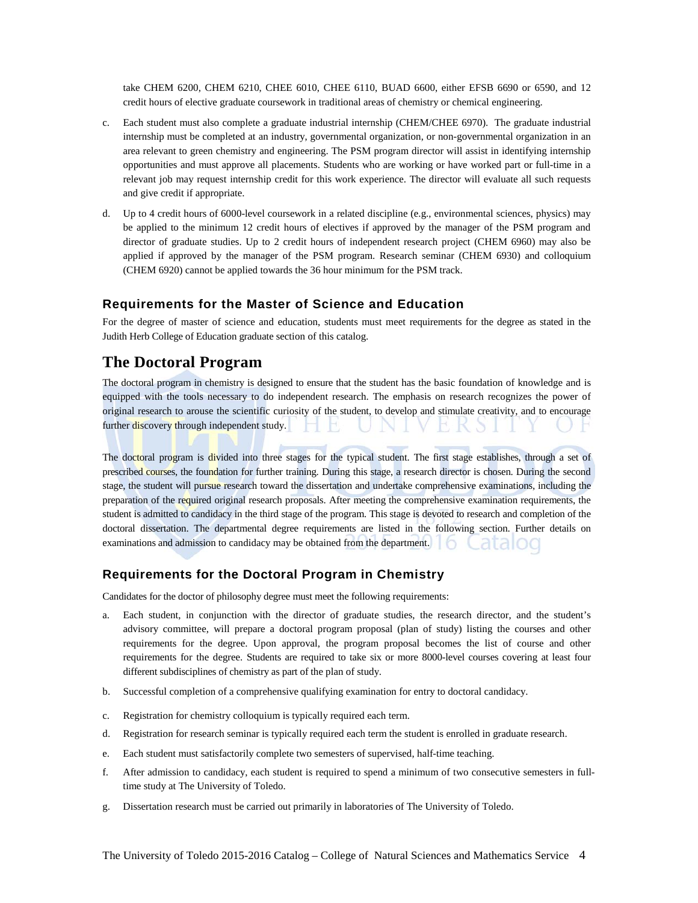take CHEM 6200, CHEM 6210, CHEE 6010, CHEE 6110, BUAD 6600, either EFSB 6690 or 6590, and 12 credit hours of elective graduate coursework in traditional areas of chemistry or chemical engineering.

- c. Each student must also complete a graduate industrial internship (CHEM/CHEE 6970). The graduate industrial internship must be completed at an industry, governmental organization, or non-governmental organization in an area relevant to green chemistry and engineering. The PSM program director will assist in identifying internship opportunities and must approve all placements. Students who are working or have worked part or full-time in a relevant job may request internship credit for this work experience. The director will evaluate all such requests and give credit if appropriate.
- d. Up to 4 credit hours of 6000-level coursework in a related discipline (e.g., environmental sciences, physics) may be applied to the minimum 12 credit hours of electives if approved by the manager of the PSM program and director of graduate studies. Up to 2 credit hours of independent research project (CHEM 6960) may also be applied if approved by the manager of the PSM program. Research seminar (CHEM 6930) and colloquium (CHEM 6920) cannot be applied towards the 36 hour minimum for the PSM track.

#### **Requirements for the Master of Science and Education**

For the degree of master of science and education, students must meet requirements for the degree as stated in the Judith Herb College of Education graduate section of this catalog.

## **The Doctoral Program**

The doctoral program in chemistry is designed to ensure that the student has the basic foundation of knowledge and is equipped with the tools necessary to do independent research. The emphasis on research recognizes the power of original research to arouse the scientific curiosity of the student, to develop and stimulate creativity, and to encourage further discovery through independent study.

The doctoral program is divided into three stages for the typical student. The first stage establishes, through a set of prescribed courses, the foundation for further training. During this stage, a research director is chosen. During the second stage, the student will pursue research toward the dissertation and undertake comprehensive examinations, including the preparation of the required original research proposals. After meeting the comprehensive examination requirements, the student is admitted to candidacy in the third stage of the program. This stage is devoted to research and completion of the doctoral dissertation. The departmental degree requirements are listed in the following section. Further details on examinations and admission to candidacy may be obtained from the department.

#### **Requirements for the Doctoral Program in Chemistry**

Candidates for the doctor of philosophy degree must meet the following requirements:

- a. Each student, in conjunction with the director of graduate studies, the research director, and the student's advisory committee, will prepare a doctoral program proposal (plan of study) listing the courses and other requirements for the degree. Upon approval, the program proposal becomes the list of course and other requirements for the degree. Students are required to take six or more 8000-level courses covering at least four different subdisciplines of chemistry as part of the plan of study.
- b. Successful completion of a comprehensive qualifying examination for entry to doctoral candidacy.
- c. Registration for chemistry colloquium is typically required each term.
- d. Registration for research seminar is typically required each term the student is enrolled in graduate research.
- e. Each student must satisfactorily complete two semesters of supervised, half-time teaching.
- f. After admission to candidacy, each student is required to spend a minimum of two consecutive semesters in fulltime study at The University of Toledo.
- g. Dissertation research must be carried out primarily in laboratories of The University of Toledo.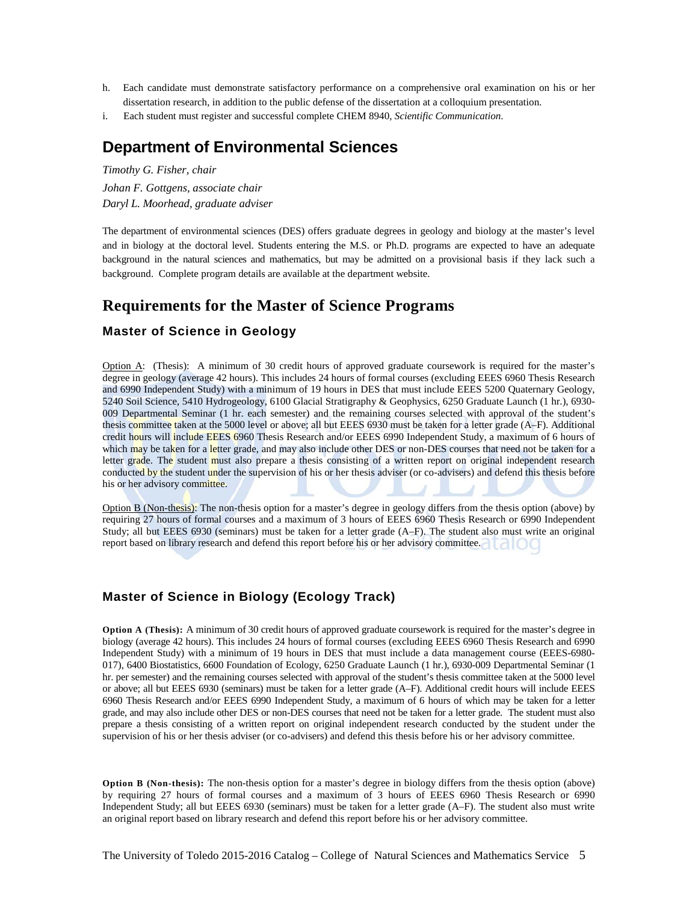- h. Each candidate must demonstrate satisfactory performance on a comprehensive oral examination on his or her dissertation research, in addition to the public defense of the dissertation at a colloquium presentation.
- i. Each student must register and successful complete CHEM 8940, *Scientific Communication*.

## **Department of Environmental Sciences**

*Timothy G. Fisher, chair Johan F. Gottgens, associate chair Daryl L. Moorhead, graduate adviser*

The department of environmental sciences (DES) offers graduate degrees in geology and biology at the master's level and in biology at the doctoral level. Students entering the M.S. or Ph.D. programs are expected to have an adequate background in the natural sciences and mathematics, but may be admitted on a provisional basis if they lack such a background. Complete program details are available at the department website.

## **Requirements for the Master of Science Programs**

## **Master of Science in Geology**

Option A: (Thesis): A minimum of 30 credit hours of approved graduate coursework is required for the master's degree in geology (average 42 hours). This includes 24 hours of formal courses (excluding EEES 6960 Thesis Research and 6990 Independent Study) with a minimum of 19 hours in DES that must include EEES 5200 Quaternary Geology, 5240 Soil Science, 5410 Hydrogeology, 6100 Glacial Stratigraphy & Geophysics, 6250 Graduate Launch (1 hr.), 6930- 009 Departmental Seminar (1 hr. each semester) and the remaining courses selected with approval of the student's thesis committee taken at the 5000 level or above; all but EEES 6930 must be taken for a letter grade (A–F). Additional credit hours will include EEES 6960 Thesis Research and/or EEES 6990 Independent Study, a maximum of 6 hours of which may be taken for a letter grade, and may also include other DES or non-DES courses that need not be taken for a letter grade. The student must also prepare a thesis consisting of a written report on original independent research conducted by the student under the supervision of his or her thesis adviser (or co-advisers) and defend this thesis before his or her advisory committee.

Option B (Non-thesis): The non-thesis option for a master's degree in geology differs from the thesis option (above) by requiring 27 hours of formal courses and a maximum of 3 hours of EEES 6960 Thesis Research or 6990 Independent Study; all but EEES 6930 (seminars) must be taken for a letter grade (A–F). The student also must write an original report based on library research and defend this report before his or her advisory committee.

## **Master of Science in Biology (Ecology Track)**

**Option A (Thesis):** A minimum of 30 credit hours of approved graduate coursework is required for the master's degree in biology (average 42 hours). This includes 24 hours of formal courses (excluding EEES 6960 Thesis Research and 6990 Independent Study) with a minimum of 19 hours in DES that must include a data management course (EEES-6980- 017), 6400 Biostatistics, 6600 Foundation of Ecology, 6250 Graduate Launch (1 hr.), 6930-009 Departmental Seminar (1 hr. per semester) and the remaining courses selected with approval of the student's thesis committee taken at the 5000 level or above; all but EEES 6930 (seminars) must be taken for a letter grade (A–F). Additional credit hours will include EEES 6960 Thesis Research and/or EEES 6990 Independent Study, a maximum of 6 hours of which may be taken for a letter grade, and may also include other DES or non-DES courses that need not be taken for a letter grade. The student must also prepare a thesis consisting of a written report on original independent research conducted by the student under the supervision of his or her thesis adviser (or co-advisers) and defend this thesis before his or her advisory committee.

**Option B (Non-thesis):** The non-thesis option for a master's degree in biology differs from the thesis option (above) by requiring 27 hours of formal courses and a maximum of 3 hours of EEES 6960 Thesis Research or 6990 Independent Study; all but EEES 6930 (seminars) must be taken for a letter grade (A–F). The student also must write an original report based on library research and defend this report before his or her advisory committee.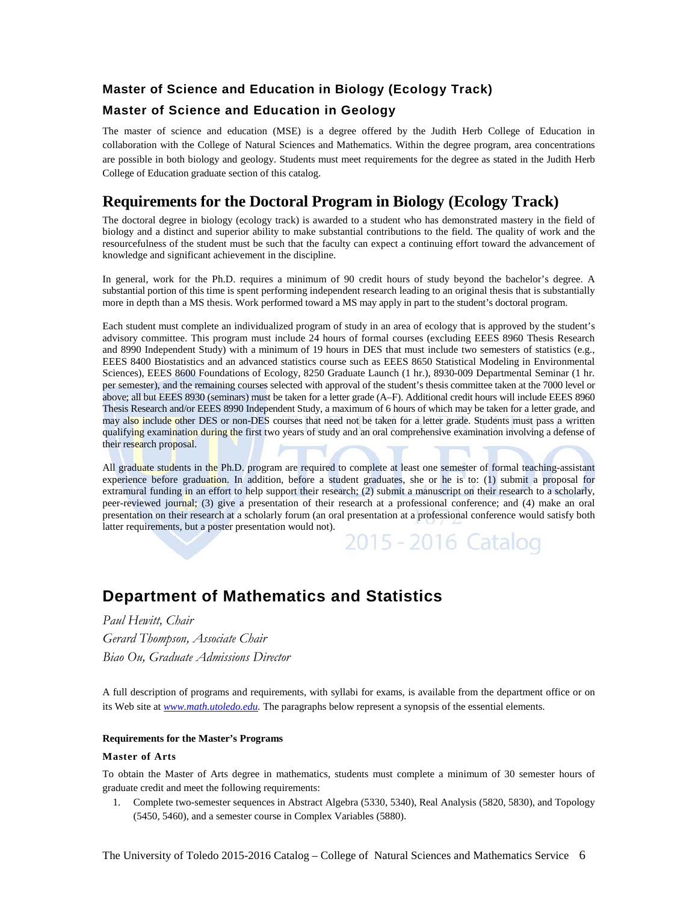## **Master of Science and Education in Biology (Ecology Track)**

## **Master of Science and Education in Geology**

The master of science and education (MSE) is a degree offered by the Judith Herb College of Education in collaboration with the College of Natural Sciences and Mathematics. Within the degree program, area concentrations are possible in both biology and geology. Students must meet requirements for the degree as stated in the Judith Herb College of Education graduate section of this catalog.

## **Requirements for the Doctoral Program in Biology (Ecology Track)**

The doctoral degree in biology (ecology track) is awarded to a student who has demonstrated mastery in the field of biology and a distinct and superior ability to make substantial contributions to the field. The quality of work and the resourcefulness of the student must be such that the faculty can expect a continuing effort toward the advancement of knowledge and significant achievement in the discipline.

In general, work for the Ph.D. requires a minimum of 90 credit hours of study beyond the bachelor's degree. A substantial portion of this time is spent performing independent research leading to an original thesis that is substantially more in depth than a MS thesis. Work performed toward a MS may apply in part to the student's doctoral program.

Each student must complete an individualized program of study in an area of ecology that is approved by the student's advisory committee. This program must include 24 hours of formal courses (excluding EEES 8960 Thesis Research and 8990 Independent Study) with a minimum of 19 hours in DES that must include two semesters of statistics (e.g., EEES 8400 Biostatistics and an advanced statistics course such as EEES 8650 Statistical Modeling in Environmental Sciences), EEES 8600 Foundations of Ecology, 8250 Graduate Launch (1 hr.), 8930-009 Departmental Seminar (1 hr. per semester), and the remaining courses selected with approval of the student's thesis committee taken at the 7000 level or above; all but EEES 8930 (seminars) must be taken for a letter grade (A–F). Additional credit hours will include EEES 8960 Thesis Research and/or EEES 8990 Independent Study, a maximum of 6 hours of which may be taken for a letter grade, and may also include other DES or non-DES courses that need not be taken for a letter grade. Students must pass a written qualifying examination during the first two years of study and an oral comprehensive examination involving a defense of their research proposal.

All graduate students in the Ph.D. program are required to complete at least one semester of formal teaching-assistant experience before graduation. In addition, before a student graduates, she or he is to: (1) submit a proposal for extramural funding in an effort to help support their research; (2) submit a manuscript on their research to a scholarly, peer-reviewed journal; (3) give a presentation of their research at a professional conference; and (4) make an oral presentation on their research at a scholarly forum (an oral presentation at a professional conference would satisfy both latter requirements, but a poster presentation would not). 2015 - 2016 Catalog

## **Department of Mathematics and Statistics**

*Paul Hewitt, Chair Gerard Thompson, Associate Chair Biao Ou, Graduate Admissions Director*

A full description of programs and requirements, with syllabi for exams, is available from the department office or on its Web site at *www.math.utoledo.edu*. The paragraphs below represent a synopsis of the essential elements.

#### **Requirements for the Master's Programs**

#### **Master of Arts**

To obtain the Master of Arts degree in mathematics, students must complete a minimum of 30 semester hours of graduate credit and meet the following requirements:

1. Complete two-semester sequences in Abstract Algebra (5330, 5340), Real Analysis (5820, 5830), and Topology (5450, 5460), and a semester course in Complex Variables (5880).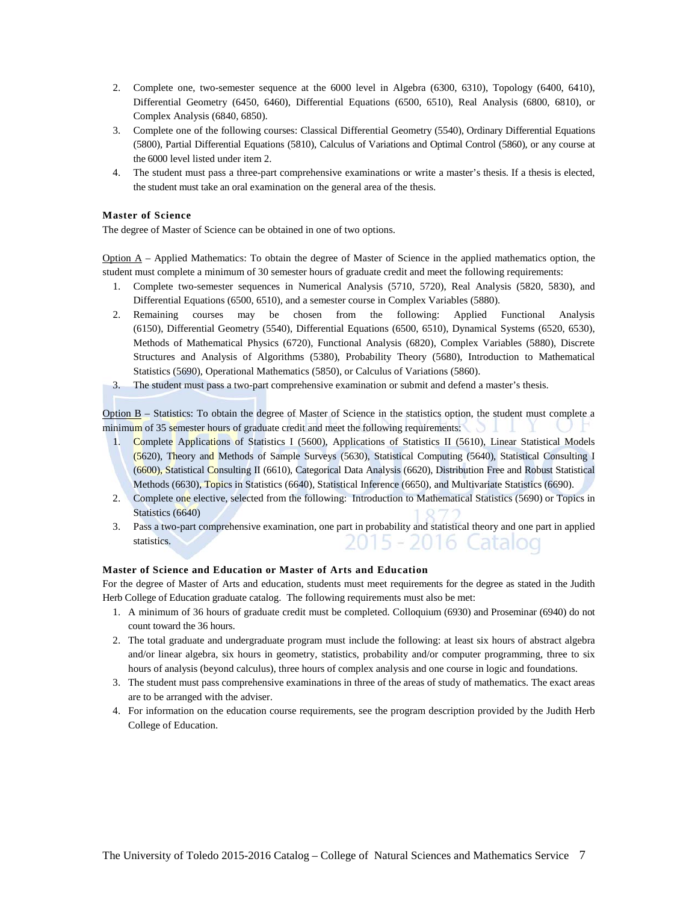- 2. Complete one, two-semester sequence at the 6000 level in Algebra (6300, 6310), Topology (6400, 6410), Differential Geometry (6450, 6460), Differential Equations (6500, 6510), Real Analysis (6800, 6810), or Complex Analysis (6840, 6850).
- 3. Complete one of the following courses: Classical Differential Geometry (5540), Ordinary Differential Equations (5800), Partial Differential Equations (5810), Calculus of Variations and Optimal Control (5860), or any course at the 6000 level listed under item 2.
- 4. The student must pass a three-part comprehensive examinations or write a master's thesis. If a thesis is elected, the student must take an oral examination on the general area of the thesis.

#### **Master of Science**

The degree of Master of Science can be obtained in one of two options.

 $Option A - Applied Mathematics: To obtain the degree of Master of Science in the applied mathematics option, the$ student must complete a minimum of 30 semester hours of graduate credit and meet the following requirements:

- 1. Complete two-semester sequences in Numerical Analysis (5710, 5720), Real Analysis (5820, 5830), and Differential Equations (6500, 6510), and a semester course in Complex Variables (5880).
- 2. Remaining courses may be chosen from the following: Applied Functional Analysis (6150), Differential Geometry (5540), Differential Equations (6500, 6510), Dynamical Systems (6520, 6530), Methods of Mathematical Physics (6720), Functional Analysis (6820), Complex Variables (5880), Discrete Structures and Analysis of Algorithms (5380), Probability Theory (5680), Introduction to Mathematical Statistics (5690), Operational Mathematics (5850), or Calculus of Variations (5860).
- 3. The student must pass a two-part comprehensive examination or submit and defend a master's thesis.

Option B – Statistics: To obtain the degree of Master of Science in the statistics option, the student must complete a minimum of 35 semester hours of graduate credit and meet the following requirements:

- 1. Complete Applications of Statistics I (5600), Applications of Statistics II (5610), Linear Statistical Models (5620), Theory and Methods of Sample Surveys (5630), Statistical Computing (5640), Statistical Consulting I (6600), Statistical Consulting II (6610), Categorical Data Analysis (6620), Distribution Free and Robust Statistical Methods (6630), Topics in Statistics (6640), Statistical Inference (6650), and Multivariate Statistics (6690).
- 2. Complete one elective, selected from the following: Introduction to Mathematical Statistics (5690) or Topics in Statistics (6640)
- 3. Pass a two-part comprehensive examination, one part in probability and statistical theory and one part in applied statistics. 2015 - 2016 Catalog

#### **Master of Science and Education or Master of Arts and Education**

For the degree of Master of Arts and education, students must meet requirements for the degree as stated in the Judith Herb College of Education graduate catalog. The following requirements must also be met:

- 1. A minimum of 36 hours of graduate credit must be completed. Colloquium (6930) and Proseminar (6940) do not count toward the 36 hours.
- 2. The total graduate and undergraduate program must include the following: at least six hours of abstract algebra and/or linear algebra, six hours in geometry, statistics, probability and/or computer programming, three to six hours of analysis (beyond calculus), three hours of complex analysis and one course in logic and foundations.
- 3. The student must pass comprehensive examinations in three of the areas of study of mathematics. The exact areas are to be arranged with the adviser.
- 4. For information on the education course requirements, see the program description provided by the Judith Herb College of Education.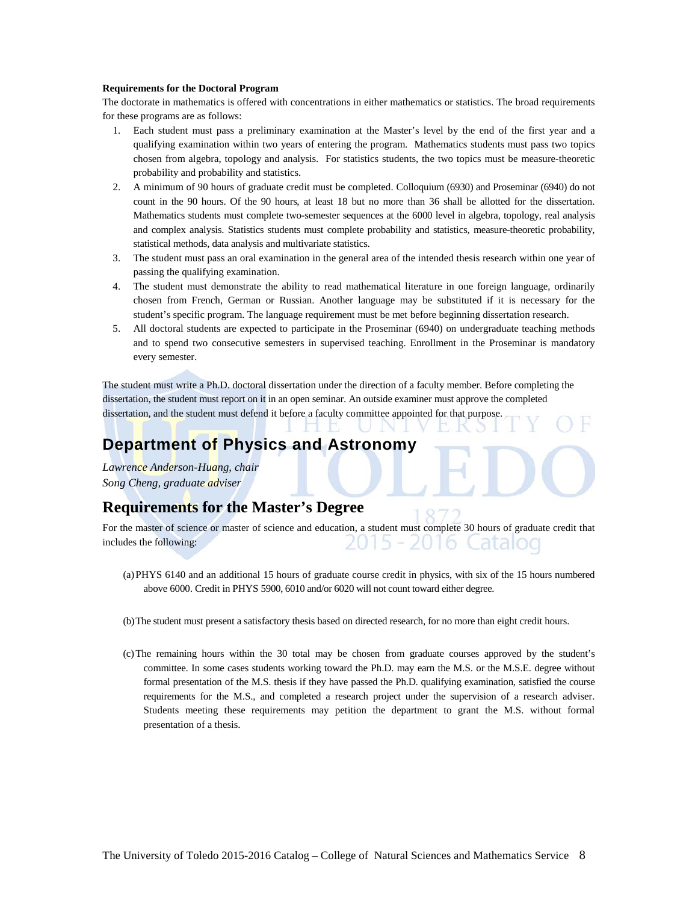#### **Requirements for the Doctoral Program**

The doctorate in mathematics is offered with concentrations in either mathematics or statistics. The broad requirements for these programs are as follows:

- 1. Each student must pass a preliminary examination at the Master's level by the end of the first year and a qualifying examination within two years of entering the program. Mathematics students must pass two topics chosen from algebra, topology and analysis. For statistics students, the two topics must be measure-theoretic probability and probability and statistics.
- 2. A minimum of 90 hours of graduate credit must be completed. Colloquium (6930) and Proseminar (6940) do not count in the 90 hours. Of the 90 hours, at least 18 but no more than 36 shall be allotted for the dissertation. Mathematics students must complete two-semester sequences at the 6000 level in algebra, topology, real analysis and complex analysis. Statistics students must complete probability and statistics, measure-theoretic probability, statistical methods, data analysis and multivariate statistics.
- 3. The student must pass an oral examination in the general area of the intended thesis research within one year of passing the qualifying examination.
- 4. The student must demonstrate the ability to read mathematical literature in one foreign language, ordinarily chosen from French, German or Russian. Another language may be substituted if it is necessary for the student's specific program. The language requirement must be met before beginning dissertation research.
- 5. All doctoral students are expected to participate in the Proseminar (6940) on undergraduate teaching methods and to spend two consecutive semesters in supervised teaching. Enrollment in the Proseminar is mandatory every semester.

The student must write a Ph.D. doctoral dissertation under the direction of a faculty member. Before completing the dissertation, the student must report on it in an open seminar. An outside examiner must approve the completed dissertation, and the student must defend it before a faculty committee appointed for that purpose.

## **Department of Physics and Astronomy**

*Lawrence Anderson-Huang, chair Song Cheng, graduate adviser*

## **Requirements for the Master's Degree**

For the master of science or master of science and education, a student must complete 30 hours of graduate credit that includes the following: <u> 15 - 2016 Catalog</u>

- (a)PHYS 6140 and an additional 15 hours of graduate course credit in physics, with six of the 15 hours numbered above 6000. Credit in PHYS 5900, 6010 and/or 6020 will not count toward either degree.
- (b)The student must present a satisfactory thesis based on directed research, for no more than eight credit hours.
- (c)The remaining hours within the 30 total may be chosen from graduate courses approved by the student's committee. In some cases students working toward the Ph.D. may earn the M.S. or the M.S.E. degree without formal presentation of the M.S. thesis if they have passed the Ph.D. qualifying examination, satisfied the course requirements for the M.S., and completed a research project under the supervision of a research adviser. Students meeting these requirements may petition the department to grant the M.S. without formal presentation of a thesis.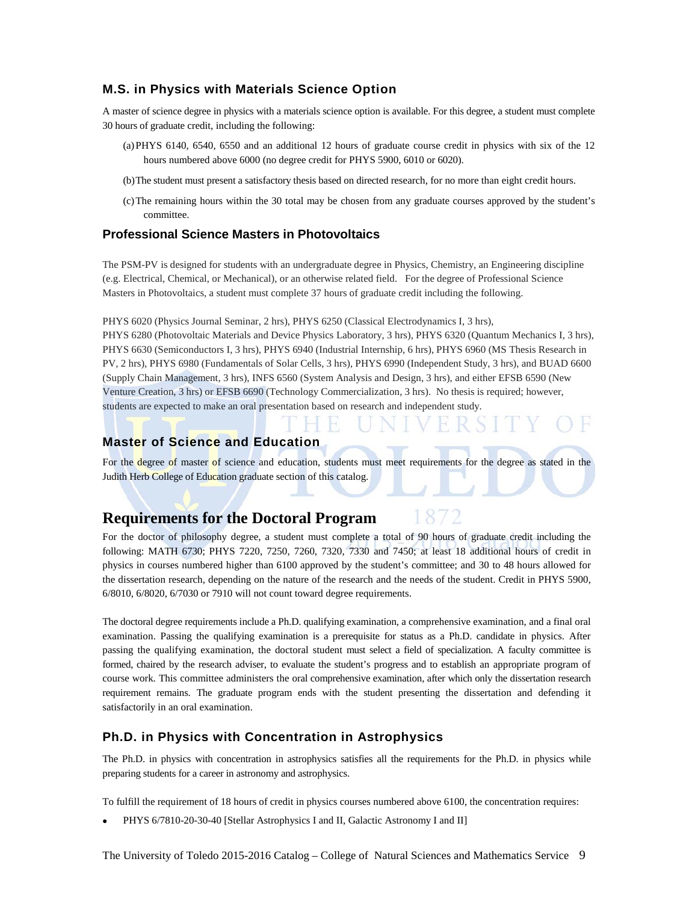## **M.S. in Physics with Materials Science Option**

A master of science degree in physics with a materials science option is available. For this degree, a student must complete 30 hours of graduate credit, including the following:

- (a)PHYS 6140, 6540, 6550 and an additional 12 hours of graduate course credit in physics with six of the 12 hours numbered above 6000 (no degree credit for PHYS 5900, 6010 or 6020).
- (b)The student must present a satisfactory thesis based on directed research, for no more than eight credit hours.
- (c)The remaining hours within the 30 total may be chosen from any graduate courses approved by the student's committee.

#### **Professional Science Masters in Photovoltaics**

The PSM-PV is designed for students with an undergraduate degree in Physics, Chemistry, an Engineering discipline (e.g. Electrical, Chemical, or Mechanical), or an otherwise related field. For the degree of Professional Science Masters in Photovoltaics, a student must complete 37 hours of graduate credit including the following.

PHYS 6020 (Physics Journal Seminar, 2 hrs), PHYS 6250 (Classical Electrodynamics I, 3 hrs), PHYS 6280 (Photovoltaic Materials and Device Physics Laboratory, 3 hrs), PHYS 6320 (Quantum Mechanics I, 3 hrs), PHYS 6630 (Semiconductors I, 3 hrs), PHYS 6940 (Industrial Internship, 6 hrs), PHYS 6960 (MS Thesis Research in PV, 2 hrs), PHYS 6980 (Fundamentals of Solar Cells, 3 hrs), PHYS 6990 (Independent Study, 3 hrs), and BUAD 6600 (Supply Chain Management, 3 hrs), INFS 6560 (System Analysis and Design, 3 hrs), and either EFSB 6590 (New Venture Creation, 3 hrs) or EFSB 6690 (Technology Commercialization, 3 hrs). No thesis is required; however,

## students are expected to make an oral presentation based on research and independent study.

#### **Master of Science and Education**

For the degree of master of science and education, students must meet requirements for the degree as stated in the Judith Herb College of Education graduate section of this catalog.

## **Requirements for the Doctoral Program**

For the doctor of philosophy degree, a student must complete a total of 90 hours of graduate credit including the following: MATH 6730; PHYS 7220, 7250, 7260, 7320, 7330 and 7450; at least 18 additional hours of credit in physics in courses numbered higher than 6100 approved by the student's committee; and 30 to 48 hours allowed for the dissertation research, depending on the nature of the research and the needs of the student. Credit in PHYS 5900, 6/8010, 6/8020, 6/7030 or 7910 will not count toward degree requirements.

The doctoral degree requirements include a Ph.D. qualifying examination, a comprehensive examination, and a final oral examination. Passing the qualifying examination is a prerequisite for status as a Ph.D. candidate in physics. After passing the qualifying examination, the doctoral student must select a field of specialization. A faculty committee is formed, chaired by the research adviser, to evaluate the student's progress and to establish an appropriate program of course work. This committee administers the oral comprehensive examination, after which only the dissertation research requirement remains. The graduate program ends with the student presenting the dissertation and defending it satisfactorily in an oral examination.

#### **Ph.D. in Physics with Concentration in Astrophysics**

The Ph.D. in physics with concentration in astrophysics satisfies all the requirements for the Ph.D. in physics while preparing students for a career in astronomy and astrophysics.

To fulfill the requirement of 18 hours of credit in physics courses numbered above 6100, the concentration requires:

PHYS 6/7810-20-30-40 [Stellar Astrophysics I and II, Galactic Astronomy I and II]